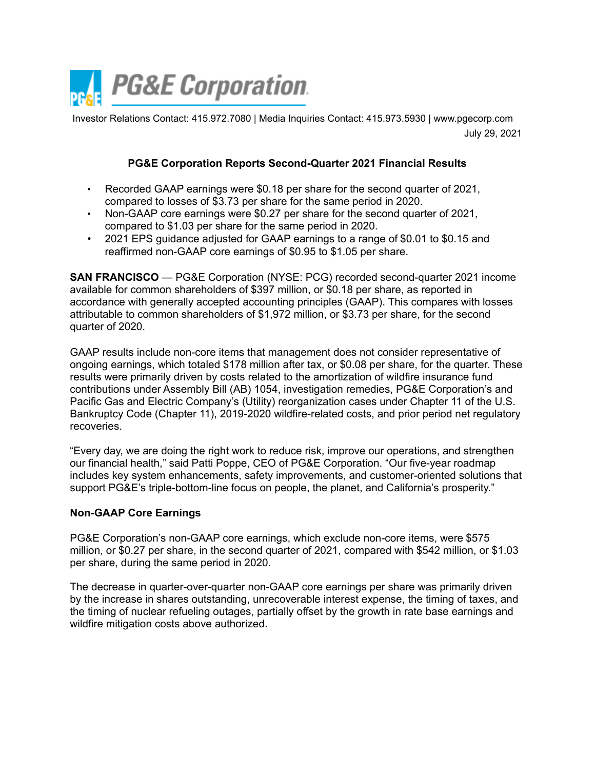

Investor Relations Contact: 415.972.7080 | Media Inquiries Contact: 415.973.5930 | www.pgecorp.com July 29, 2021

# **PG&E Corporation Reports Second-Quarter 2021 Financial Results**

- Recorded GAAP earnings were \$0.18 per share for the second quarter of 2021, compared to losses of \$3.73 per share for the same period in 2020.
- Non-GAAP core earnings were \$0.27 per share for the second quarter of 2021, compared to \$1.03 per share for the same period in 2020.
- 2021 EPS guidance adjusted for GAAP earnings to a range of \$0.01 to \$0.15 and reaffirmed non-GAAP core earnings of \$0.95 to \$1.05 per share.

**SAN FRANCISCO** — PG&E Corporation (NYSE: PCG) recorded second-quarter 2021 income available for common shareholders of \$397 million, or \$0.18 per share, as reported in accordance with generally accepted accounting principles (GAAP). This compares with losses attributable to common shareholders of \$1,972 million, or \$3.73 per share, for the second quarter of 2020.

GAAP results include non-core items that management does not consider representative of ongoing earnings, which totaled \$178 million after tax, or \$0.08 per share, for the quarter. These results were primarily driven by costs related to the amortization of wildfire insurance fund contributions under Assembly Bill (AB) 1054, investigation remedies, PG&E Corporation's and Pacific Gas and Electric Company's (Utility) reorganization cases under Chapter 11 of the U.S. Bankruptcy Code (Chapter 11), 2019-2020 wildfire-related costs, and prior period net regulatory recoveries.

"Every day, we are doing the right work to reduce risk, improve our operations, and strengthen our financial health," said Patti Poppe, CEO of PG&E Corporation. "Our five-year roadmap includes key system enhancements, safety improvements, and customer-oriented solutions that support PG&E's triple-bottom-line focus on people, the planet, and California's prosperity."

# **Non-GAAP Core Earnings**

PG&E Corporation's non-GAAP core earnings, which exclude non-core items, were \$575 million, or \$0.27 per share, in the second quarter of 2021, compared with \$542 million, or \$1.03 per share, during the same period in 2020.

The decrease in quarter-over-quarter non-GAAP core earnings per share was primarily driven by the increase in shares outstanding, unrecoverable interest expense, the timing of taxes, and the timing of nuclear refueling outages, partially offset by the growth in rate base earnings and wildfire mitigation costs above authorized.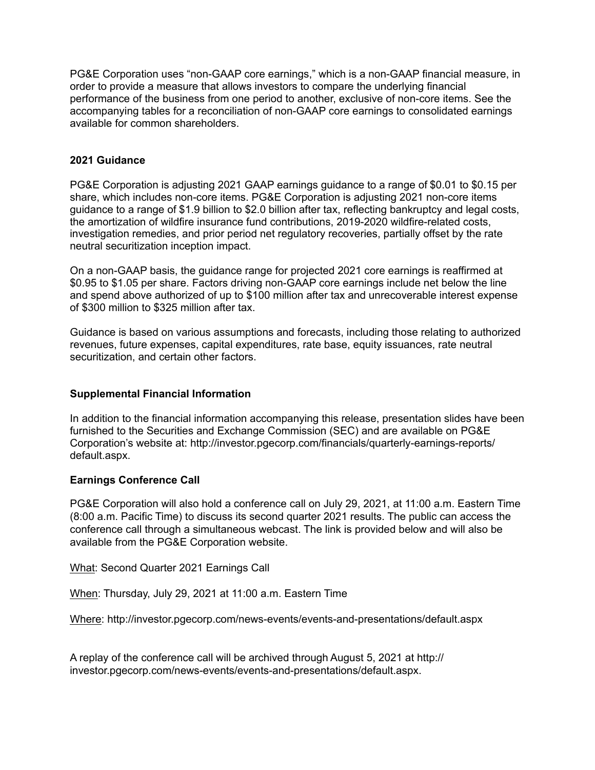PG&E Corporation uses "non-GAAP core earnings," which is a non-GAAP financial measure, in order to provide a measure that allows investors to compare the underlying financial performance of the business from one period to another, exclusive of non-core items. See the accompanying tables for a reconciliation of non-GAAP core earnings to consolidated earnings available for common shareholders.

# **2021 Guidance**

PG&E Corporation is adjusting 2021 GAAP earnings guidance to a range of \$0.01 to \$0.15 per share, which includes non-core items. PG&E Corporation is adjusting 2021 non-core items guidance to a range of \$1.9 billion to \$2.0 billion after tax, reflecting bankruptcy and legal costs, the amortization of wildfire insurance fund contributions, 2019-2020 wildfire-related costs, investigation remedies, and prior period net regulatory recoveries, partially offset by the rate neutral securitization inception impact.

On a non-GAAP basis, the guidance range for projected 2021 core earnings is reaffirmed at \$0.95 to \$1.05 per share. Factors driving non-GAAP core earnings include net below the line and spend above authorized of up to \$100 million after tax and unrecoverable interest expense of \$300 million to \$325 million after tax.

Guidance is based on various assumptions and forecasts, including those relating to authorized revenues, future expenses, capital expenditures, rate base, equity issuances, rate neutral securitization, and certain other factors.

# **Supplemental Financial Information**

In addition to the financial information accompanying this release, presentation slides have been furnished to the Securities and Exchange Commission (SEC) and are available on PG&E Corporation's website at: http://investor.pgecorp.com/financials/quarterly-earnings-reports/ default.aspx.

#### **Earnings Conference Call**

PG&E Corporation will also hold a conference call on July 29, 2021, at 11:00 a.m. Eastern Time (8:00 a.m. Pacific Time) to discuss its second quarter 2021 results. The public can access the conference call through a simultaneous webcast. The link is provided below and will also be available from the PG&E Corporation website.

What: Second Quarter 2021 Earnings Call

When: Thursday, July 29, 2021 at 11:00 a.m. Eastern Time

Where: http://investor.pgecorp.com/news-events/events-and-presentations/default.aspx

A replay of the conference call will be archived through August 5, 2021 at http:// investor.pgecorp.com/news-events/events-and-presentations/default.aspx.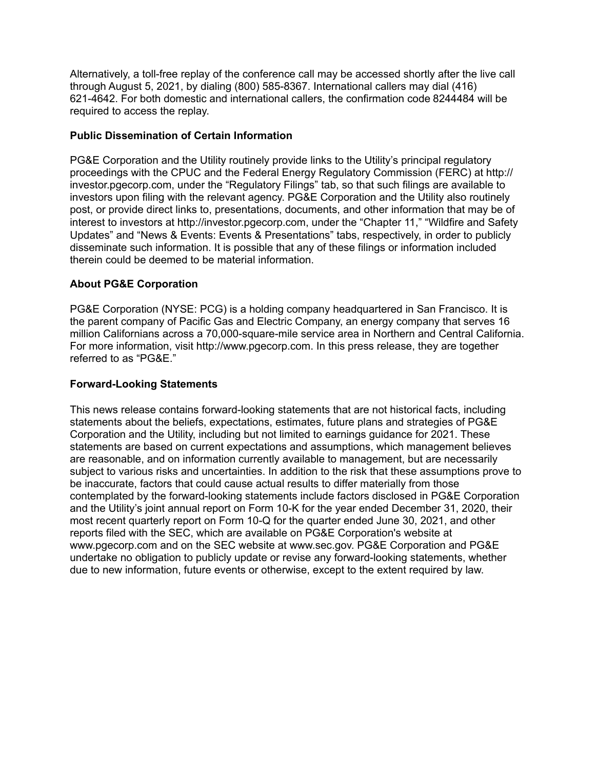Alternatively, a toll-free replay of the conference call may be accessed shortly after the live call through August 5, 2021, by dialing (800) 585-8367. International callers may dial (416) 621-4642. For both domestic and international callers, the confirmation code 8244484 will be required to access the replay.

## **Public Dissemination of Certain Information**

PG&E Corporation and the Utility routinely provide links to the Utility's principal regulatory proceedings with the CPUC and the Federal Energy Regulatory Commission (FERC) at http:// investor.pgecorp.com, under the "Regulatory Filings" tab, so that such filings are available to investors upon filing with the relevant agency. PG&E Corporation and the Utility also routinely post, or provide direct links to, presentations, documents, and other information that may be of interest to investors at http://investor.pgecorp.com, under the "Chapter 11," "Wildfire and Safety Updates" and "News & Events: Events & Presentations" tabs, respectively, in order to publicly disseminate such information. It is possible that any of these filings or information included therein could be deemed to be material information.

# **About PG&E Corporation**

PG&E Corporation (NYSE: PCG) is a holding company headquartered in San Francisco. It is the parent company of Pacific Gas and Electric Company, an energy company that serves 16 million Californians across a 70,000-square-mile service area in Northern and Central California. For more information, visit http://www.pgecorp.com. In this press release, they are together referred to as "PG&E."

### **Forward-Looking Statements**

This news release contains forward-looking statements that are not historical facts, including statements about the beliefs, expectations, estimates, future plans and strategies of PG&E Corporation and the Utility, including but not limited to earnings guidance for 2021. These statements are based on current expectations and assumptions, which management believes are reasonable, and on information currently available to management, but are necessarily subject to various risks and uncertainties. In addition to the risk that these assumptions prove to be inaccurate, factors that could cause actual results to differ materially from those contemplated by the forward-looking statements include factors disclosed in PG&E Corporation and the Utility's joint annual report on Form 10-K for the year ended December 31, 2020, their most recent quarterly report on Form 10-Q for the quarter ended June 30, 2021, and other reports filed with the SEC, which are available on PG&E Corporation's website at www.pgecorp.com and on the SEC website at www.sec.gov. PG&E Corporation and PG&E undertake no obligation to publicly update or revise any forward-looking statements, whether due to new information, future events or otherwise, except to the extent required by law.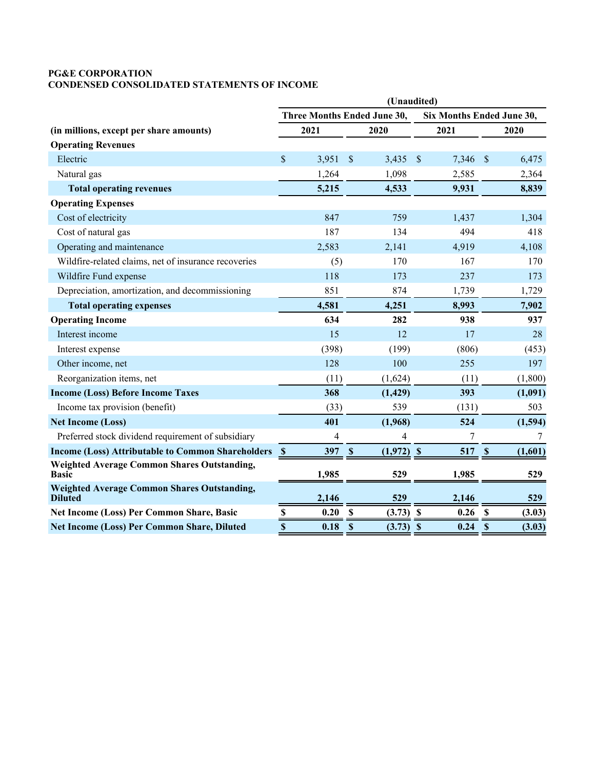### **PG&E CORPORATION CONDENSED CONSOLIDATED STATEMENTS OF INCOME**

|                                                                      | (Unaudited)                 |                |                           |                           |                           |       |               |         |
|----------------------------------------------------------------------|-----------------------------|----------------|---------------------------|---------------------------|---------------------------|-------|---------------|---------|
|                                                                      | Three Months Ended June 30, |                |                           | Six Months Ended June 30, |                           |       |               |         |
| (in millions, except per share amounts)                              |                             | 2021           |                           | 2020                      |                           | 2021  |               | 2020    |
| <b>Operating Revenues</b>                                            |                             |                |                           |                           |                           |       |               |         |
| Electric                                                             | \$                          | 3,951          | $\mathcal{S}$             | 3,435                     | $\mathcal{S}$             | 7,346 | $\mathcal{S}$ | 6,475   |
| Natural gas                                                          |                             | 1,264          |                           | 1,098                     |                           | 2,585 |               | 2,364   |
| <b>Total operating revenues</b>                                      |                             | 5,215          |                           | 4,533                     |                           | 9,931 |               | 8,839   |
| <b>Operating Expenses</b>                                            |                             |                |                           |                           |                           |       |               |         |
| Cost of electricity                                                  |                             | 847            |                           | 759                       |                           | 1,437 |               | 1,304   |
| Cost of natural gas                                                  |                             | 187            |                           | 134                       |                           | 494   |               | 418     |
| Operating and maintenance                                            |                             | 2,583          |                           | 2,141                     |                           | 4,919 |               | 4,108   |
| Wildfire-related claims, net of insurance recoveries                 |                             | (5)            |                           | 170                       |                           | 167   |               | 170     |
| Wildfire Fund expense                                                |                             | 118            |                           | 173                       |                           | 237   |               | 173     |
| Depreciation, amortization, and decommissioning                      |                             | 851            |                           | 874                       |                           | 1,739 |               | 1,729   |
| <b>Total operating expenses</b>                                      |                             | 4,581          |                           | 4,251                     |                           | 8,993 |               | 7,902   |
| <b>Operating Income</b>                                              |                             | 634            |                           | 282                       |                           | 938   |               | 937     |
| Interest income                                                      |                             | 15             |                           | 12                        |                           | 17    |               | 28      |
| Interest expense                                                     |                             | (398)          |                           | (199)                     |                           | (806) |               | (453)   |
| Other income, net                                                    |                             | 128            |                           | 100                       |                           | 255   |               | 197     |
| Reorganization items, net                                            |                             | (11)           |                           | (1,624)                   |                           | (11)  |               | (1,800) |
| <b>Income (Loss) Before Income Taxes</b>                             |                             | 368            |                           | (1, 429)                  |                           | 393   |               | (1,091) |
| Income tax provision (benefit)                                       |                             | (33)           |                           | 539                       |                           | (131) |               | 503     |
| <b>Net Income (Loss)</b>                                             |                             | 401            |                           | (1,968)                   |                           | 524   |               | (1,594) |
| Preferred stock dividend requirement of subsidiary                   |                             | $\overline{4}$ |                           | 4                         |                           | 7     |               | 7       |
| <b>Income (Loss) Attributable to Common Shareholders</b>             | $\mathbf{\$}$               | 397            | $\boldsymbol{\mathsf{S}}$ | $(1,972)$ \$              |                           | 517   | $\mathbf{\$}$ | (1,601) |
| <b>Weighted Average Common Shares Outstanding,</b><br><b>Basic</b>   |                             | 1,985          |                           | 529                       |                           | 1,985 |               | 529     |
| <b>Weighted Average Common Shares Outstanding,</b><br><b>Diluted</b> |                             | 2,146          |                           | 529                       |                           | 2,146 |               | 529     |
| <b>Net Income (Loss) Per Common Share, Basic</b>                     | $\mathbb S$                 | 0.20           | $\boldsymbol{\mathsf{S}}$ | (3.73)                    | $\boldsymbol{\mathsf{s}}$ | 0.26  | $\mathbf{s}$  | (3.03)  |
| <b>Net Income (Loss) Per Common Share, Diluted</b>                   | \$                          | 0.18           | $\mathbf S$               | (3.73)                    | $\mathbf{\$}$             | 0.24  | $\mathbf S$   | (3.03)  |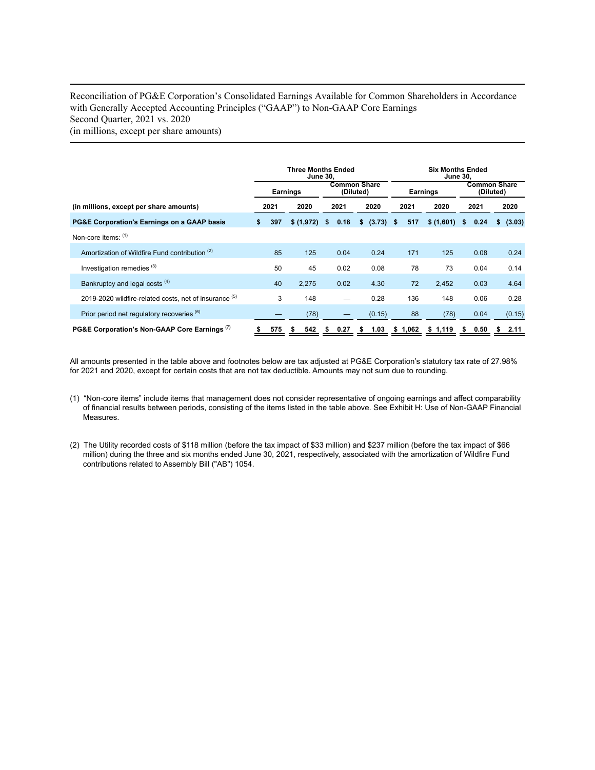#### Reconciliation of PG&E Corporation's Consolidated Earnings Available for Common Shareholders in Accordance with Generally Accepted Accounting Principles ("GAAP") to Non-GAAP Core Earnings Second Quarter, 2021 vs. 2020 (in millions, except per share amounts)

|                                                          | <b>Three Months Ended</b><br><b>June 30.</b> |                 |           |    |                                  |      | <b>Six Months Ended</b><br><b>June 30,</b> |                 |     |               |    |      |    |        |  |  |  |  |  |  |  |  |  |                                  |  |  |
|----------------------------------------------------------|----------------------------------------------|-----------------|-----------|----|----------------------------------|------|--------------------------------------------|-----------------|-----|---------------|----|------|----|--------|--|--|--|--|--|--|--|--|--|----------------------------------|--|--|
|                                                          |                                              | <b>Earnings</b> |           |    | <b>Common Share</b><br>(Diluted) |      |                                            | <b>Earnings</b> |     |               |    |      |    |        |  |  |  |  |  |  |  |  |  | <b>Common Share</b><br>(Diluted) |  |  |
| (in millions, except per share amounts)                  |                                              | 2021            | 2020      |    | 2021                             |      | 2020                                       | 2021            |     | 2020          |    | 2021 |    | 2020   |  |  |  |  |  |  |  |  |  |                                  |  |  |
| <b>PG&amp;E Corporation's Earnings on a GAAP basis</b>   | s.                                           | 397             | \$(1,972) | s. | 0.18                             | s.   | (3.73)                                     | \$              | 517 | $$(1,601)$ \$ |    | 0.24 | s. | (3.03) |  |  |  |  |  |  |  |  |  |                                  |  |  |
| Non-core items: $(1)$                                    |                                              |                 |           |    |                                  |      |                                            |                 |     |               |    |      |    |        |  |  |  |  |  |  |  |  |  |                                  |  |  |
| Amortization of Wildfire Fund contribution (2)           |                                              | 85              | 125       |    | 0.04                             |      | 0.24                                       |                 | 171 | 125           |    | 0.08 |    | 0.24   |  |  |  |  |  |  |  |  |  |                                  |  |  |
| Investigation remedies (3)                               |                                              | 50              | 45        |    | 0.02                             |      | 0.08                                       |                 | 78  | 73            |    | 0.04 |    | 0.14   |  |  |  |  |  |  |  |  |  |                                  |  |  |
| Bankruptcy and legal costs <sup>(4)</sup>                |                                              | 40              | 2,275     |    | 0.02                             |      | 4.30                                       |                 | 72  | 2,452         |    | 0.03 |    | 4.64   |  |  |  |  |  |  |  |  |  |                                  |  |  |
| 2019-2020 wildfire-related costs, net of insurance (b)   |                                              | 3               | 148       |    |                                  |      | 0.28                                       |                 | 136 | 148           |    | 0.06 |    | 0.28   |  |  |  |  |  |  |  |  |  |                                  |  |  |
| Prior period net regulatory recoveries (6)               |                                              |                 | (78)      |    |                                  |      | (0.15)                                     |                 | 88  | (78)          |    | 0.04 |    | (0.15) |  |  |  |  |  |  |  |  |  |                                  |  |  |
| PG&E Corporation's Non-GAAP Core Earnings <sup>(7)</sup> |                                              | 575             | 542<br>æ. | 5  | 0.27                             | - \$ | 1.03                                       | \$1,062         |     | \$1,119       | s. | 0.50 | s. | 2.11   |  |  |  |  |  |  |  |  |  |                                  |  |  |

All amounts presented in the table above and footnotes below are tax adjusted at PG&E Corporation's statutory tax rate of 27.98% for 2021 and 2020, except for certain costs that are not tax deductible. Amounts may not sum due to rounding.

- (1) "Non-core items" include items that management does not consider representative of ongoing earnings and affect comparability of financial results between periods, consisting of the items listed in the table above. See Exhibit H: Use of Non-GAAP Financial Measures.
- (2) The Utility recorded costs of \$118 million (before the tax impact of \$33 million) and \$237 million (before the tax impact of \$66 million) during the three and six months ended June 30, 2021, respectively, associated with the amortization of Wildfire Fund contributions related to Assembly Bill ("AB") 1054.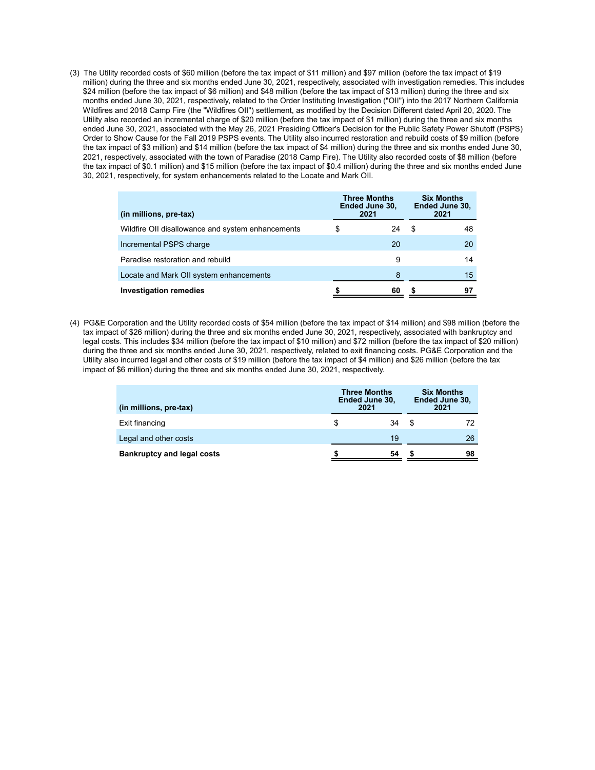(3) The Utility recorded costs of \$60 million (before the tax impact of \$11 million) and \$97 million (before the tax impact of \$19 million) during the three and six months ended June 30, 2021, respectively, associated with investigation remedies. This includes \$24 million (before the tax impact of \$6 million) and \$48 million (before the tax impact of \$13 million) during the three and six months ended June 30, 2021, respectively, related to the Order Instituting Investigation ("OII") into the 2017 Northern California Wildfires and 2018 Camp Fire (the "Wildfires OII") settlement, as modified by the Decision Different dated April 20, 2020. The Utility also recorded an incremental charge of \$20 million (before the tax impact of \$1 million) during the three and six months ended June 30, 2021, associated with the May 26, 2021 Presiding Officer's Decision for the Public Safety Power Shutoff (PSPS) Order to Show Cause for the Fall 2019 PSPS events. The Utility also incurred restoration and rebuild costs of \$9 million (before the tax impact of \$3 million) and \$14 million (before the tax impact of \$4 million) during the three and six months ended June 30, 2021, respectively, associated with the town of Paradise (2018 Camp Fire). The Utility also recorded costs of \$8 million (before the tax impact of \$0.1 million) and \$15 million (before the tax impact of \$0.4 million) during the three and six months ended June 30, 2021, respectively, for system enhancements related to the Locate and Mark OII.

| (in millions, pre-tax)                            | <b>Three Months</b><br>Ended June 30,<br>2021 | <b>Six Months</b><br>Ended June 30,<br>2021 |         |
|---------------------------------------------------|-----------------------------------------------|---------------------------------------------|---------|
| Wildfire OII disallowance and system enhancements | \$                                            | 24                                          | 48<br>S |
| Incremental PSPS charge                           |                                               | 20                                          | 20      |
| Paradise restoration and rebuild                  |                                               | 9                                           | 14      |
| Locate and Mark OII system enhancements           |                                               | 8                                           | 15      |
| <b>Investigation remedies</b>                     |                                               | 60                                          | S       |

(4) PG&E Corporation and the Utility recorded costs of \$54 million (before the tax impact of \$14 million) and \$98 million (before the tax impact of \$26 million) during the three and six months ended June 30, 2021, respectively, associated with bankruptcy and legal costs. This includes \$34 million (before the tax impact of \$10 million) and \$72 million (before the tax impact of \$20 million) during the three and six months ended June 30, 2021, respectively, related to exit financing costs. PG&E Corporation and the Utility also incurred legal and other costs of \$19 million (before the tax impact of \$4 million) and \$26 million (before the tax impact of \$6 million) during the three and six months ended June 30, 2021, respectively.

| (in millions, pre-tax)            | <b>Three Months</b><br>Ended June 30,<br>2021 |    | <b>Six Months</b><br>Ended June 30,<br>2021 |    |  |
|-----------------------------------|-----------------------------------------------|----|---------------------------------------------|----|--|
| Exit financing                    | \$                                            | 34 | S                                           | 72 |  |
| Legal and other costs             |                                               | 19 |                                             | 26 |  |
| <b>Bankruptcy and legal costs</b> |                                               | 54 |                                             | 98 |  |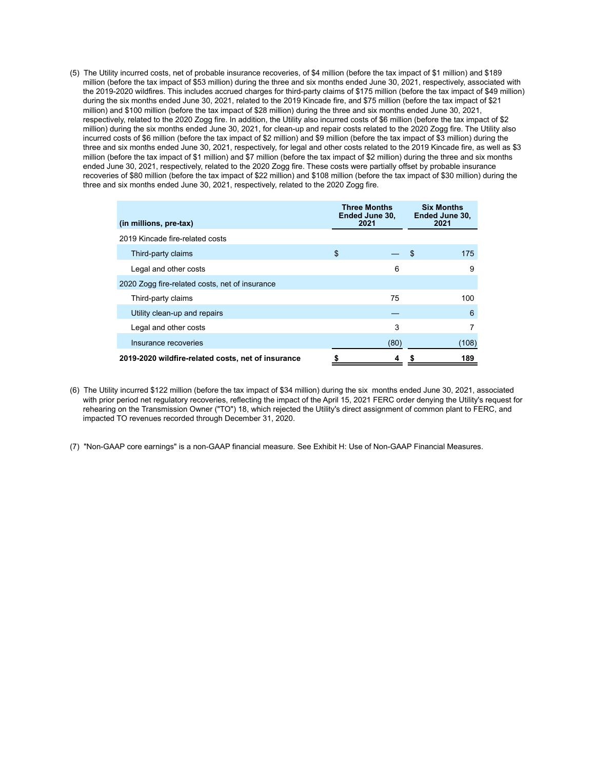(5) The Utility incurred costs, net of probable insurance recoveries, of \$4 million (before the tax impact of \$1 million) and \$189 million (before the tax impact of \$53 million) during the three and six months ended June 30, 2021, respectively, associated with the 2019-2020 wildfires. This includes accrued charges for third-party claims of \$175 million (before the tax impact of \$49 million) during the six months ended June 30, 2021, related to the 2019 Kincade fire, and \$75 million (before the tax impact of \$21 million) and \$100 million (before the tax impact of \$28 million) during the three and six months ended June 30, 2021, respectively, related to the 2020 Zogg fire. In addition, the Utility also incurred costs of \$6 million (before the tax impact of \$2 million) during the six months ended June 30, 2021, for clean-up and repair costs related to the 2020 Zogg fire. The Utility also incurred costs of \$6 million (before the tax impact of \$2 million) and \$9 million (before the tax impact of \$3 million) during the three and six months ended June 30, 2021, respectively, for legal and other costs related to the 2019 Kincade fire, as well as \$3 million (before the tax impact of \$1 million) and \$7 million (before the tax impact of \$2 million) during the three and six months ended June 30, 2021, respectively, related to the 2020 Zogg fire. These costs were partially offset by probable insurance recoveries of \$80 million (before the tax impact of \$22 million) and \$108 million (before the tax impact of \$30 million) during the three and six months ended June 30, 2021, respectively, related to the 2020 Zogg fire.

| (in millions, pre-tax)                             | <b>Three Months</b><br>Ended June 30,<br>2021 | <b>Six Months</b><br>Ended June 30,<br>2021 |
|----------------------------------------------------|-----------------------------------------------|---------------------------------------------|
| 2019 Kincade fire-related costs                    |                                               |                                             |
| Third-party claims                                 | \$                                            | \$<br>175                                   |
| Legal and other costs                              | 6                                             | 9                                           |
| 2020 Zogg fire-related costs, net of insurance     |                                               |                                             |
| Third-party claims                                 | 75                                            | 100                                         |
| Utility clean-up and repairs                       |                                               | 6                                           |
| Legal and other costs                              | 3                                             |                                             |
| Insurance recoveries                               | (80)                                          | (108)                                       |
| 2019-2020 wildfire-related costs, net of insurance |                                               | 189                                         |

- (6) The Utility incurred \$122 million (before the tax impact of \$34 million) during the six months ended June 30, 2021, associated with prior period net regulatory recoveries, reflecting the impact of the April 15, 2021 FERC order denying the Utility's request for rehearing on the Transmission Owner ("TO") 18, which rejected the Utility's direct assignment of common plant to FERC, and impacted TO revenues recorded through December 31, 2020.
- (7) "Non-GAAP core earnings" is a non-GAAP financial measure. See Exhibit H: Use of Non-GAAP Financial Measures.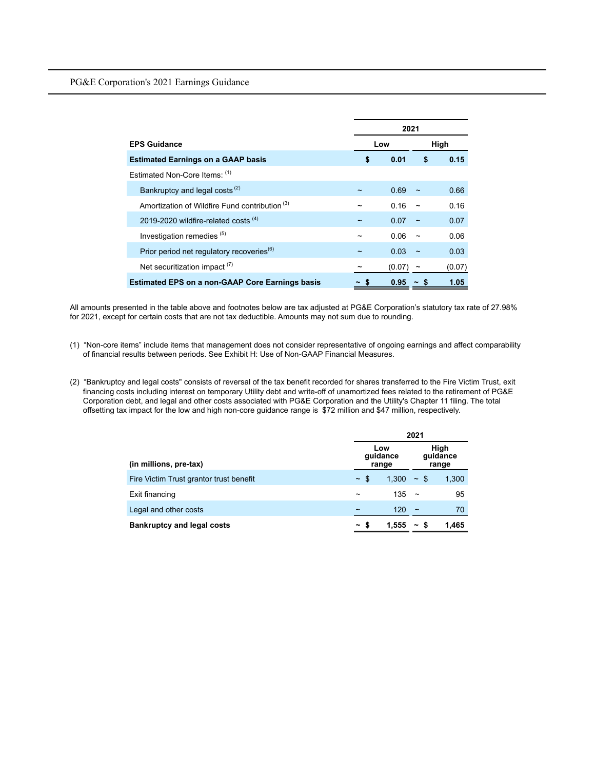PG&E Corporation's 2021 Earnings Guidance

|                                                           | 2021 |        |                              |        |  |      |
|-----------------------------------------------------------|------|--------|------------------------------|--------|--|------|
| <b>EPS Guidance</b>                                       | Low  |        | High                         |        |  |      |
| <b>Estimated Earnings on a GAAP basis</b>                 | \$   | 0.01   |                              |        |  | 0.15 |
| Estimated Non-Core Items: (1)                             |      |        |                              |        |  |      |
| Bankruptcy and legal costs <sup>(2)</sup>                 |      | 0.69   |                              | 0.66   |  |      |
| Amortization of Wildfire Fund contribution <sup>(3)</sup> |      | 0.16   |                              | 0.16   |  |      |
| 2019-2020 wildfire-related costs $(4)$                    |      | 0.07   |                              | 0.07   |  |      |
| Investigation remedies (5)                                |      | 0.06   |                              | 0.06   |  |      |
| Prior period net regulatory recoveries <sup>(6)</sup>     |      | 0.03   |                              | 0.03   |  |      |
| Net securitization impact <sup>(7)</sup>                  |      | (0.07) |                              | (0.07) |  |      |
| <b>Estimated EPS on a non-GAAP Core Earnings basis</b>    |      | 0.95   | $\tilde{\phantom{a}}$<br>- 5 | 1.05   |  |      |

All amounts presented in the table above and footnotes below are tax adjusted at PG&E Corporation's statutory tax rate of 27.98% for 2021, except for certain costs that are not tax deductible. Amounts may not sum due to rounding.

- (1) "Non-core items" include items that management does not consider representative of ongoing earnings and affect comparability of financial results between periods. See Exhibit H: Use of Non-GAAP Financial Measures.
- (2) "Bankruptcy and legal costs" consists of reversal of the tax benefit recorded for shares transferred to the Fire Victim Trust, exit financing costs including interest on temporary Utility debt and write-off of unamortized fees related to the retirement of PG&E Corporation debt, and legal and other costs associated with PG&E Corporation and the Utility's Chapter 11 filing. The total offsetting tax impact for the low and high non-core guidance range is \$72 million and \$47 million, respectively.

|                                         | 2021                  |             |                          |                  |  |                           |
|-----------------------------------------|-----------------------|-------------|--------------------------|------------------|--|---------------------------|
| (in millions, pre-tax)                  |                       |             | Low<br>guidance<br>range |                  |  | High<br>guidance<br>range |
| Fire Victim Trust grantor trust benefit |                       | $~\sim~$ \$ | 1.300                    | $~\sim~\text{s}$ |  | 1,300                     |
| Exit financing                          | $\tilde{}$            |             | 135                      | $\tilde{}$       |  | 95                        |
| Legal and other costs                   | $\tilde{\phantom{a}}$ |             | 120                      | $\tilde{}$       |  | 70                        |
| <b>Bankruptcy and legal costs</b>       | ~ s                   |             | 1,555                    | ~ s              |  | 1,465                     |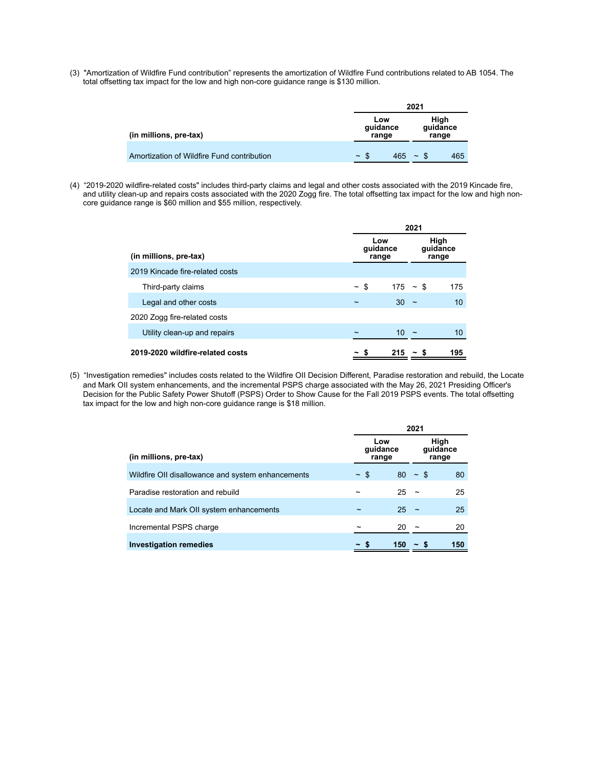(3) "Amortization of Wildfire Fund contribution" represents the amortization of Wildfire Fund contributions related to AB 1054. The total offsetting tax impact for the low and high non-core guidance range is \$130 million.

|                                            | 2021                                                  |     |                       |     |
|--------------------------------------------|-------------------------------------------------------|-----|-----------------------|-----|
| (in millions, pre-tax)                     | High<br>Low<br>quidance<br>quidance<br>range<br>range |     |                       |     |
| Amortization of Wildfire Fund contribution | -\$<br>$\tilde{\phantom{a}}$                          | 465 | $\tilde{\phantom{a}}$ | 465 |

(4) "2019-2020 wildfire-related costs" includes third-party claims and legal and other costs associated with the 2019 Kincade fire, and utility clean-up and repairs costs associated with the 2020 Zogg fire. The total offsetting tax impact for the low and high noncore guidance range is \$60 million and \$55 million, respectively.

|                                  | 2021       |                          |            |                           |     |
|----------------------------------|------------|--------------------------|------------|---------------------------|-----|
| (in millions, pre-tax)           |            | Low<br>guidance<br>range |            | High<br>guidance<br>range |     |
| 2019 Kincade fire-related costs  |            |                          |            |                           |     |
| Third-party claims               | - \$       | $175 - $$                |            | 175                       |     |
| Legal and other costs            | $\tilde{}$ | 30                       | $\tilde{}$ |                           | 10  |
| 2020 Zogg fire-related costs     |            |                          |            |                           |     |
| Utility clean-up and repairs     | $\tilde{}$ | 10                       | $\tilde{}$ |                           | 10  |
| 2019-2020 wildfire-related costs |            | $215 - S$                |            |                           | 195 |

(5) "Investigation remedies" includes costs related to the Wildfire OII Decision Different, Paradise restoration and rebuild, the Locate and Mark OII system enhancements, and the incremental PSPS charge associated with the May 26, 2021 Presiding Officer's Decision for the Public Safety Power Shutoff (PSPS) Order to Show Cause for the Fall 2019 PSPS events. The total offsetting tax impact for the low and high non-core guidance range is \$18 million.

|                                                   | 2021                  |                          |            |                           |
|---------------------------------------------------|-----------------------|--------------------------|------------|---------------------------|
| (in millions, pre-tax)                            |                       | Low<br>guidance<br>range |            | High<br>guidance<br>range |
| Wildfire OII disallowance and system enhancements | $~\sim~\text{\ss}$    |                          | $80 - $$   | 80                        |
| Paradise restoration and rebuild                  | $\tilde{\phantom{a}}$ | 25                       | $\tilde{}$ | 25                        |
| Locate and Mark OII system enhancements           | $\tilde{\phantom{a}}$ | 25                       | $\tilde{}$ | 25                        |
| Incremental PSPS charge                           |                       | 20                       |            | 20                        |
| <b>Investigation remedies</b>                     | $\sim$                | 150                      | ~ S        | 150                       |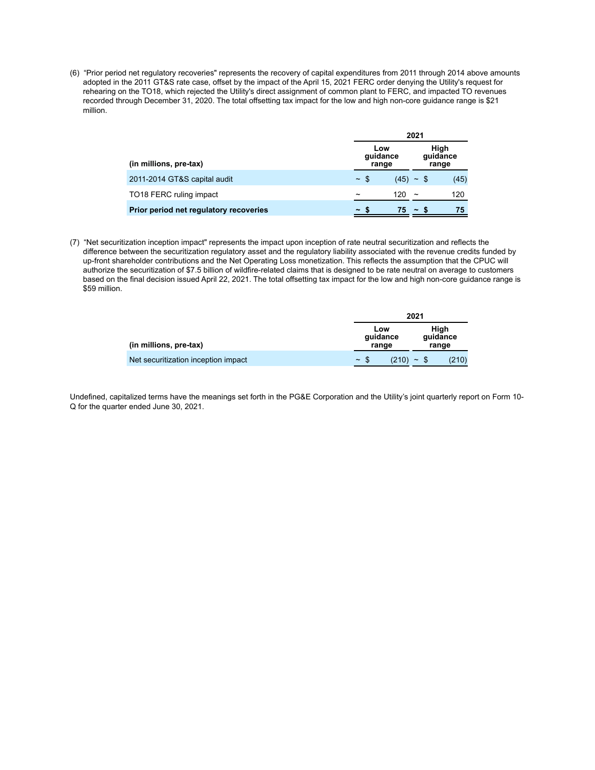(6) "Prior period net regulatory recoveries" represents the recovery of capital expenditures from 2011 through 2014 above amounts adopted in the 2011 GT&S rate case, offset by the impact of the April 15, 2021 FERC order denying the Utility's request for rehearing on the TO18, which rejected the Utility's direct assignment of common plant to FERC, and impacted TO revenues recorded through December 31, 2020. The total offsetting tax impact for the low and high non-core guidance range is \$21 million.

|                                        | 2021                     |  |                |                           |  |      |
|----------------------------------------|--------------------------|--|----------------|---------------------------|--|------|
| (in millions, pre-tax)                 | Low<br>quidance<br>range |  |                | High<br>quidance<br>range |  |      |
| 2011-2014 GT&S capital audit           | $~\sim~\text{s}$         |  | $(45) \sim$ \$ |                           |  | (45) |
| TO <sub>18</sub> FERC ruling impact    | $\tilde{\phantom{a}}$    |  | 120            | $\tilde{\phantom{a}}$     |  | 120  |
| Prior period net regulatory recoveries | $\tilde{\phantom{a}}$    |  | 75             | $\sim$ S                  |  | 75   |

(7) "Net securitization inception impact" represents the impact upon inception of rate neutral securitization and reflects the difference between the securitization regulatory asset and the regulatory liability associated with the revenue credits funded by up-front shareholder contributions and the Net Operating Loss monetization. This reflects the assumption that the CPUC will authorize the securitization of \$7.5 billion of wildfire-related claims that is designed to be rate neutral on average to customers based on the final decision issued April 22, 2021. The total offsetting tax impact for the low and high non-core guidance range is \$59 million.

|                                     |                           | 2021                      |
|-------------------------------------|---------------------------|---------------------------|
| (in millions, pre-tax)              | Low<br>quidance<br>range  | High<br>quidance<br>range |
| Net securitization inception impact | (210)<br>$~\sim~\text{s}$ | (210)<br>$~\sim~\text{s}$ |

Undefined, capitalized terms have the meanings set forth in the PG&E Corporation and the Utility's joint quarterly report on Form 10- Q for the quarter ended June 30, 2021.